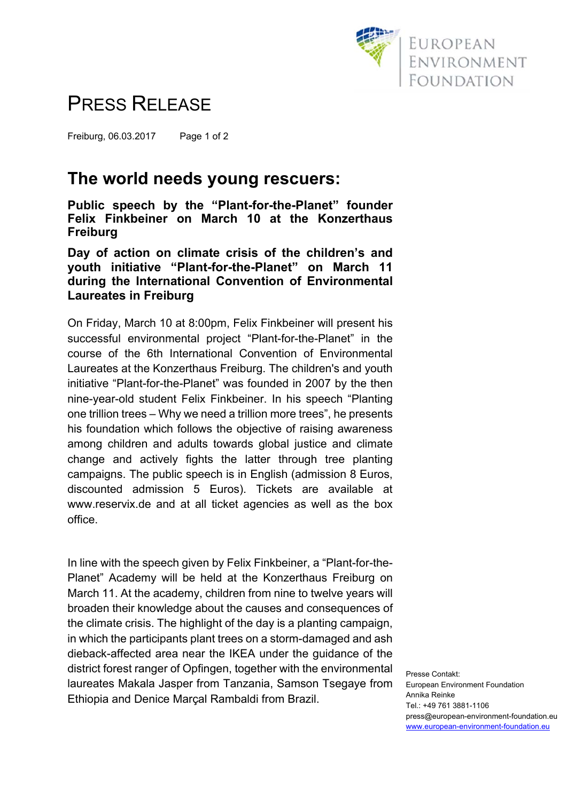

## PRESS RELEASE

Freiburg, 06.03.2017 Page 1 of 2

### **The world needs young rescuers:**

**Public speech by the "Plant-for-the-Planet" founder Felix Finkbeiner on March 10 at the Konzerthaus Freiburg** 

**Day of action on climate crisis of the children's and youth initiative "Plant-for-the-Planet" on March 11 during the International Convention of Environmental Laureates in Freiburg** 

On Friday, March 10 at 8:00pm, Felix Finkbeiner will present his successful environmental project "Plant-for-the-Planet" in the course of the 6th International Convention of Environmental Laureates at the Konzerthaus Freiburg. The children's and youth initiative "Plant-for-the-Planet" was founded in 2007 by the then nine-year-old student Felix Finkbeiner. In his speech "Planting one trillion trees – Why we need a trillion more trees", he presents his foundation which follows the objective of raising awareness among children and adults towards global justice and climate change and actively fights the latter through tree planting campaigns. The public speech is in English (admission 8 Euros, discounted admission 5 Euros). Tickets are available at www.reservix.de and at all ticket agencies as well as the box office.

In line with the speech given by Felix Finkbeiner, a "Plant-for-the-Planet" Academy will be held at the Konzerthaus Freiburg on March 11. At the academy, children from nine to twelve years will broaden their knowledge about the causes and consequences of the climate crisis. The highlight of the day is a planting campaign, in which the participants plant trees on a storm-damaged and ash dieback-affected area near the IKEA under the guidance of the district forest ranger of Opfingen, together with the environmental laureates Makala Jasper from Tanzania, Samson Tsegaye from Ethiopia and Denice Marçal Rambaldi from Brazil.

Presse Contakt: European Environment Foundation Annika Reinke Tel.: +49 761 3881-1106 press@european-environment-foundation.eu www.european-environment-foundation.eu